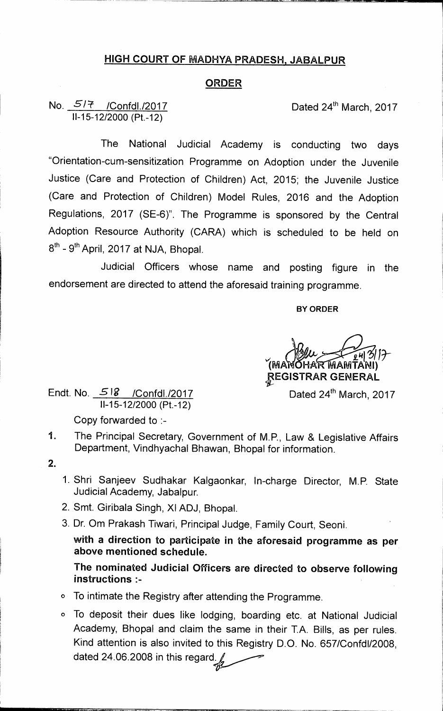## **HIGH COURT OF MADHYA PRADESH, JABALPUR**

## **ORDER**

## **No.**  $\frac{577}{2017}$  /Confdl./2017 11-15-12/2000 (Pt.-12)

The National Judicial Academy is conducting two days "Orientation-cum-sensitization Programme on Adoption under the Juvenile Justice (Care and Protection of Children) Act, 2015; the Juvenile Justice (Care and Protection of Children) Model Rules, 2016 and the Adoption Regulations, 2017 (SE-6)". The Programme is sponsored by the Central Adoption Resource Authority (CARA) which is scheduled to be held on 8<sup>th</sup> - 9<sup>th</sup> April, 2017 at NJA, Bhopal.

Judicial Officers whose name and posting figure in the endorsement are directed to attend the aforesaid training programme.

## **BY ORDER**

 $\frac{24}{24}$  3/17 IMA **HA MAIVITANI) f.EGISTRAR GENERAL** 

Endt. No.  $518$  /Confdl./2017 11-15-12/2000 (Pt.-12)

Dated 24<sup>th</sup> March, 2017

Copy forwarded to :-

- 1. The Principal Secretary, Government of M.P., Law & Legislative Affairs Department, Vindhyachal Bhawan, Bhopal for information.
- $2.$
- 1. Shri Sanjeev Sudhakar Kalgaonkar, In-charge Director, M.P. State Judicial Academy, Jabalpur.
- 2. Smt. Giribala Singh, XI ADJ, Bhopal.
- 3. Dr. Om Prakash Tiwari, Principal Judge, Family Court, Seoni.

**with a direction to participate in the aforesaid programme as per above mentioned schedule.** 

**The nominated Judicial Officers are directed to observe following instructions :-** 

- **0** To intimate the Registry after attending the Programme.
- 0 To deposit their dues like lodging, boarding etc. at National Judicial Academy, Bhopal and claim the same in their T.A. Bills, as per rules. Kind attention is also invited to this Registry D.O. No. 657/Confd1/2008, dated 24.06.2008 in this regard.